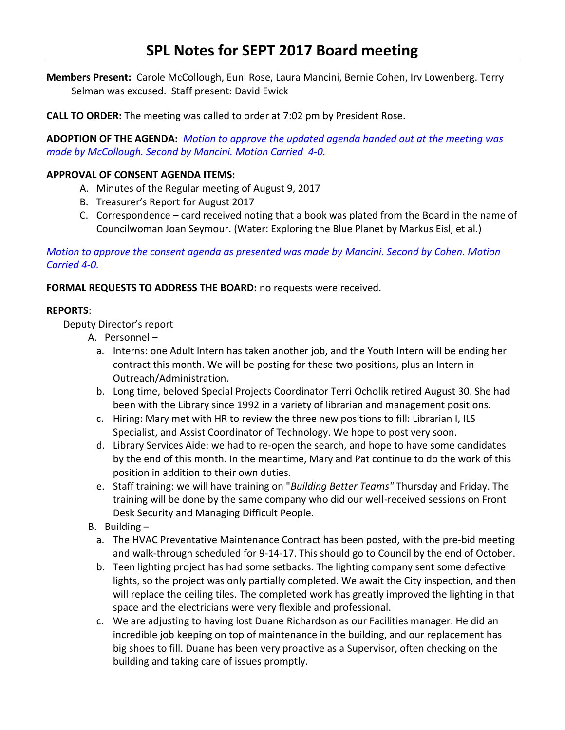**Members Present:** Carole McCollough, Euni Rose, Laura Mancini, Bernie Cohen, Irv Lowenberg. Terry Selman was excused. Staff present: David Ewick

**CALL TO ORDER:** The meeting was called to order at 7:02 pm by President Rose.

**ADOPTION OF THE AGENDA:** *Motion to approve the updated agenda handed out at the meeting was made by McCollough. Second by Mancini. Motion Carried 4-0.*

# **APPROVAL OF CONSENT AGENDA ITEMS:**

- A. Minutes of the Regular meeting of August 9, 2017
- B. Treasurer's Report for August 2017
- C. Correspondence card received noting that a book was plated from the Board in the name of Councilwoman Joan Seymour. (Water: Exploring the Blue Planet by Markus Eisl, et al.)

*Motion to approve the consent agenda as presented was made by Mancini. Second by Cohen. Motion Carried 4-0.*

# **FORMAL REQUESTS TO ADDRESS THE BOARD:** no requests were received.

## **REPORTS**:

Deputy Director's report

- A. Personnel
	- a. Interns: one Adult Intern has taken another job, and the Youth Intern will be ending her contract this month. We will be posting for these two positions, plus an Intern in Outreach/Administration.
	- b. Long time, beloved Special Projects Coordinator Terri Ocholik retired August 30. She had been with the Library since 1992 in a variety of librarian and management positions.
	- c. Hiring: Mary met with HR to review the three new positions to fill: Librarian I, ILS Specialist, and Assist Coordinator of Technology. We hope to post very soon.
	- d. Library Services Aide: we had to re-open the search, and hope to have some candidates by the end of this month. In the meantime, Mary and Pat continue to do the work of this position in addition to their own duties.
	- e. Staff training: we will have training on "*Building Better Teams"* Thursday and Friday. The training will be done by the same company who did our well-received sessions on Front Desk Security and Managing Difficult People.
- B. Building
	- a. The HVAC Preventative Maintenance Contract has been posted, with the pre-bid meeting and walk-through scheduled for 9-14-17. This should go to Council by the end of October.
	- b. Teen lighting project has had some setbacks. The lighting company sent some defective lights, so the project was only partially completed. We await the City inspection, and then will replace the ceiling tiles. The completed work has greatly improved the lighting in that space and the electricians were very flexible and professional.
	- c. We are adjusting to having lost Duane Richardson as our Facilities manager. He did an incredible job keeping on top of maintenance in the building, and our replacement has big shoes to fill. Duane has been very proactive as a Supervisor, often checking on the building and taking care of issues promptly.